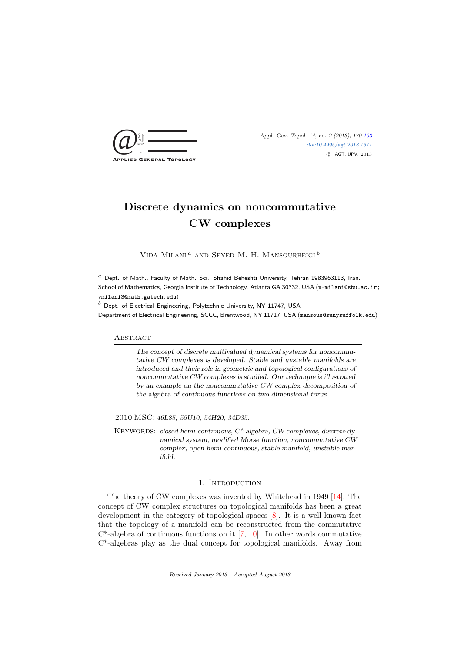

[doi:10.4995/agt.2013.1671](http://dx.doi.org/10.4995/agt.2013.1671) c AGT, UPV, 2013

# Discrete dynamics on noncommutative CW complexes

VIDA MILANI<sup> $a$ </sup> AND SEYED M. H. MANSOURBEIGI<sup>b</sup>

 $a$  Dept. of Math., Faculty of Math. Sci., Shahid Beheshti University, Tehran 1983963113, Iran. School of Mathematics, Georgia Institute of Technology, Atlanta GA 30332, USA (v-milani@sbu.ac.ir; vmilani3@math.gatech.edu)

 $^{b}$  Dept. of Electrical Engineering, Polytechnic University, NY 11747, USA Department of Electrical Engineering, SCCC, Brentwood, NY 11717, USA (mansous@sunysuffolk.edu)

# **ABSTRACT**

The concept of discrete multivalued dynamical systems for noncommutative CW complexes is developed. Stable and unstable manifolds are introduced and their role in geometric and topological configurations of noncommutative CW complexes is studied. Our technique is illustrated by an example on the noncommutative CW complex decomposition of the algebra of continuous functions on two dimensional torus.

2010 MSC: 46L85, 55U10, 54H20, 34D35.

KEYWORDS: closed hemi-continuous, C\*-algebra, CW complexes, discrete dynamical system, modified Morse function, noncommutative CW complex, open hemi-continuous, stable manifold, unstable manifold.

# 1. INTRODUCTION

The theory of CW complexes was invented by Whitehead in 1949 [\[14\]](#page-14-1). The concept of CW complex structures on topological manifolds has been a great development in the category of topological spaces [\[8\]](#page-14-2). It is a well known fact that the topology of a manifold can be reconstructed from the commutative  $C^*$ -algebra of continuous functions on it [\[7,](#page-14-3) [10\]](#page-14-4). In other words commutative C\*-algebras play as the dual concept for topological manifolds. Away from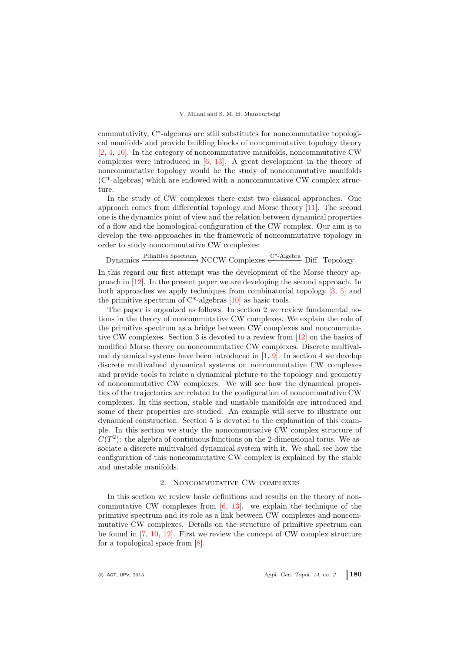commutativity, C\*-algebras are still substitutes for noncommutative topological manifolds and provide building blocks of noncommutative topology theory [\[2,](#page-14-5) [4,](#page-14-6) [10\]](#page-14-4). In the category of noncommutative manifolds, noncommutative CW complexes were introduced in  $[6, 13]$  $[6, 13]$ . A great development in the theory of noncommutative topology would be the study of noncommutative manifolds (C\*-algebras) which are endowed with a noncommutative CW complex structure.

In the study of CW complexes there exist two classical approaches. One approach comes from differential topology and Morse theory [\[11\]](#page-14-9). The second one is the dynamics point of view and the relation between dynamical properties of a flow and the homological configuration of the CW complex. Our aim is to develop the two approaches in the framework of noncommutative topology in order to study noncommutative CW complexes:

Dynamics  $\xrightarrow{\text{Primitive Spectrum}}$  NCCW Complexes  $\xleftarrow{\text{C*-Algebra}}$  Diff. Topology

In this regard our first attempt was the development of the Morse theory approach in [\[12\]](#page-14-10). In the present paper we are developing the second approach. In both approaches we apply techniques from combinatorial topology [\[3,](#page-14-11) [5\]](#page-14-12) and the primitive spectrum of  $C^*$ -algebras [\[10\]](#page-14-4) as basic tools.

The paper is organized as follows. In section 2 we review fundamental notions in the theory of noncommutative CW complexes. We explain the role of the primitive spectrum as a bridge between CW complexes and noncommutative CW complexes. Section 3 is devoted to a review from [\[12\]](#page-14-10) on the basics of modified Morse theory on noncommutative CW complexes. Discrete multivalued dynamical systems have been introduced in  $[1, 9]$  $[1, 9]$ . In section 4 we develop discrete multivalued dynamical systems on noncommutative CW complexes and provide tools to relate a dynamical picture to the topology and geometry of noncommutative CW complexes. We will see how the dynamical properties of the trajectories are related to the configuration of noncommutative CW complexes. In this section, stable and unstable manifolds are introduced and some of their properties are studied. An example will serve to illustrate our dynamical construction. Section 5 is devoted to the explanation of this example. In this section we study the noncommutative CW complex structure of  $C(T^2)$ : the algebra of continuous functions on the 2-dimensional torus. We associate a discrete multivalued dynamical system with it. We shall see how the configuration of this noncommutative CW complex is explained by the stable and unstable manifolds.

# 2. Noncommutative CW complexes

In this section we review basic definitions and results on the theory of noncommutative CW complexes from [\[6,](#page-14-7) [13\]](#page-14-8). we explain the technique of the primitive spectrum and its role as a link between CW complexes and noncommutative CW complexes. Details on the structure of primitive spectrum can be found in [\[7,](#page-14-3) [10,](#page-14-4) [12\]](#page-14-10). First we review the concept of CW complex structure for a topological space from [\[8\]](#page-14-2).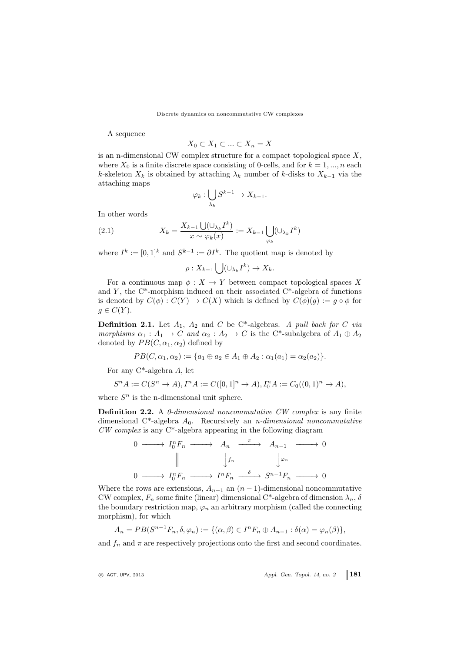A sequence

$$
X_0\subset X_1\subset\ldots\subset X_n=X
$$

is an n-dimensional CW complex structure for a compact topological space  $X$ , where  $X_0$  is a finite discrete space consisting of 0-cells, and for  $k = 1, ..., n$  each k-skeleton  $X_k$  is obtained by attaching  $\lambda_k$  number of k-disks to  $X_{k-1}$  via the attaching maps

$$
\varphi_k : \bigcup_{\lambda_k} S^{k-1} \to X_{k-1}.
$$

In other words

(2.1) 
$$
X_k = \frac{X_{k-1} \bigcup (\bigcup_{\lambda_k} I^k)}{x \sim \varphi_k(x)} := X_{k-1} \bigcup_{\varphi_k} (\bigcup_{\lambda_k} I^k)
$$

where  $I^k := [0,1]^k$  and  $S^{k-1} := \partial I^k$ . The quotient map is denoted by

$$
\rho: X_{k-1} \bigcup (\cup_{\lambda_k} I^k) \to X_k.
$$

For a continuous map  $\phi: X \to Y$  between compact topological spaces X and  $Y$ , the C<sup>\*</sup>-morphism induced on their associated C<sup>\*</sup>-algebra of functions is denoted by  $C(\phi): C(Y) \to C(X)$  which is defined by  $C(\phi)(g) := g \circ \phi$  for  $g \in C(Y)$ .

**Definition 2.1.** Let  $A_1$ ,  $A_2$  and  $C$  be C\*-algebras. A pull back for  $C$  via morphisms  $\alpha_1 : A_1 \to C$  and  $\alpha_2 : A_2 \to C$  is the C<sup>\*</sup>-subalgebra of  $A_1 \oplus A_2$ denoted by  $PB(C, \alpha_1, \alpha_2)$  defined by

$$
PB(C, \alpha_1, \alpha_2) := \{a_1 \oplus a_2 \in A_1 \oplus A_2 : \alpha_1(a_1) = \alpha_2(a_2)\}.
$$

For any  $C^*$ -algebra A, let

$$
S^n A := C(S^n \to A), I^n A := C([0,1]^n \to A), I_0^n A := C_0((0,1)^n \to A),
$$

where  $S<sup>n</sup>$  is the n-dimensional unit sphere.

Definition 2.2. A 0-dimensional noncommutative CW complex is any finite dimensional C<sup>\*</sup>-algebra  $A_0$ . Recursively an *n*-dimensional noncommutative  $CW \text{ complex}$  is any  $C^*$ -algebra appearing in the following diagram

0 −−−−→ I n <sup>0</sup> F<sup>n</sup> −−−−→ A<sup>n</sup> <sup>π</sup> −−−−→ An−<sup>1</sup> −−−−→ 0 yfn y ϕn 0 −−−−→ I n <sup>0</sup> F<sup>n</sup> −−−−→ I <sup>n</sup>F<sup>n</sup> δ −−−−→ S <sup>n</sup>−1F<sup>n</sup> −−−−→ 0

Where the rows are extensions,  $A_{n-1}$  an  $(n-1)$ -dimensional noncommutative CW complex,  $F_n$  some finite (linear) dimensional C<sup>\*</sup>-algebra of dimension  $\lambda_n$ ,  $\delta$ the boundary restriction map,  $\varphi_n$  an arbitrary morphism (called the connecting morphism), for which

$$
A_n = PB(S^{n-1}F_n, \delta, \varphi_n) := \{(\alpha, \beta) \in I^nF_n \oplus A_{n-1} : \delta(\alpha) = \varphi_n(\beta)\},
$$

and  $f_n$  and  $\pi$  are respectively projections onto the first and second coordinates.

 $\circ$  AGT, UPV, 2013  $\circ$  Appl. Gen. Topol. 14, no. 2 181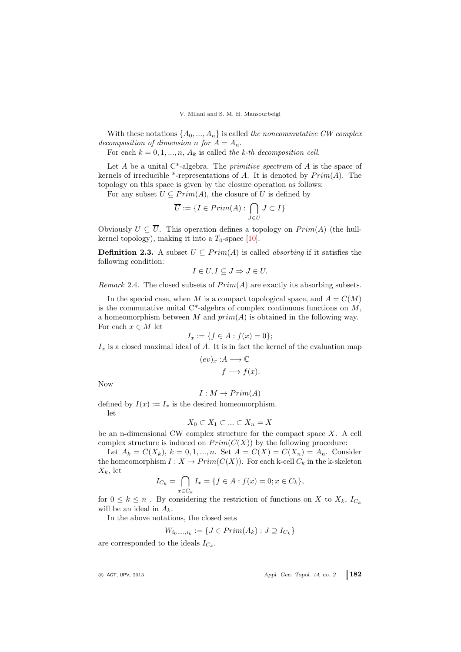With these notations  $\{A_0, ..., A_n\}$  is called the noncommutative CW complex decomposition of dimension n for  $A = A_n$ .

For each  $k = 0, 1, ..., n$ ,  $A_k$  is called the k-th decomposition cell.

Let  $A$  be a unital C<sup>\*</sup>-algebra. The *primitive spectrum* of  $A$  is the space of kernels of irreducible \*-representations of A. It is denoted by  $Prim(A)$ . The topology on this space is given by the closure operation as follows:

For any subset  $U \subseteq Prim(A)$ , the closure of U is defined by

$$
\overline{U} := \{ I \in Prim(A) : \bigcap_{J \in U} J \subset I \}
$$

Obviously  $U \subseteq \overline{U}$ . This operation defines a topology on  $Prim(A)$  (the hullkernel topology), making it into a  $T_0$ -space [\[10\]](#page-14-4).

**Definition 2.3.** A subset  $U \subseteq Prim(A)$  is called *absorbing* if it satisfies the following condition:

$$
I \in U, I \subseteq J \Rightarrow J \in U.
$$

*Remark* 2.4. The closed subsets of  $Prim(A)$  are exactly its absorbing subsets.

In the special case, when M is a compact topological space, and  $A = C(M)$ is the commutative unital  $C^*$ -algebra of complex continuous functions on M, a homeomorphism between  $M$  and  $prim(A)$  is obtained in the following way. For each  $x \in M$  let

$$
I_x := \{ f \in A : f(x) = 0 \};
$$

 $I_x$  is a closed maximal ideal of A. It is in fact the kernel of the evaluation map

$$
(ev)_x : A \longrightarrow \mathbb{C}
$$

$$
f \longmapsto f(x).
$$

Now

$$
I: M \to Prim(A)
$$

defined by  $I(x) := I_x$  is the desired homeomorphism. let

$$
X_0 \subset X_1 \subset \ldots \subset X_n = X
$$

be an n-dimensional CW complex structure for the compact space  $X$ . A cell complex structure is induced on  $Prim(C(X))$  by the following procedure:

Let  $A_k = C(X_k)$ ,  $k = 0, 1, ..., n$ . Set  $A = C(X) = C(X_n) = A_n$ . Consider the homeomorphism  $I: X \to Prim(C(X))$ . For each k-cell  $C_k$  in the k-skeleton  $X_k$ , let

$$
I_{C_k} = \bigcap_{x \in C_k} I_x = \{ f \in A : f(x) = 0; x \in C_k \},\
$$

for  $0 \leq k \leq n$ . By considering the restriction of functions on X to  $X_k$ ,  $I_{C_k}$ will be an ideal in  $A_k$ .

In the above notations, the closed sets

$$
W_{i_0,\ldots,i_k} := \{ J \in Prim(A_k) : J \supseteq I_{C_k} \}
$$

are corresponded to the ideals  $I_{C_k}$ .

 $\circ$  AGT, UPV, 2013  $\circ$  Appl. Gen. Topol. 14, no. 2 182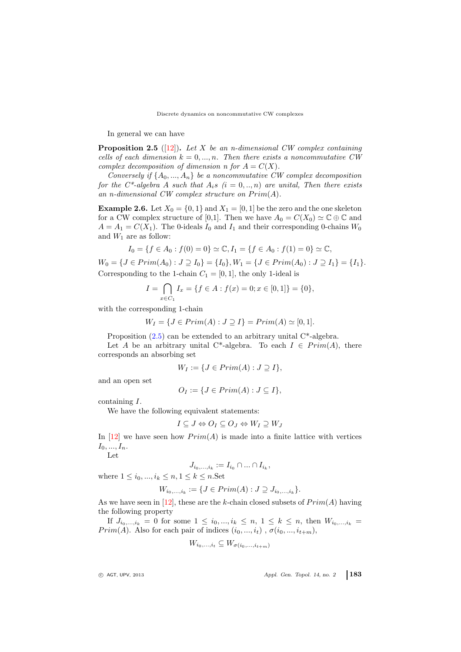In general we can have

<span id="page-4-0"></span>**Proposition 2.5** ([\[12\]](#page-14-10)). Let X be an n-dimensional CW complex containing cells of each dimension  $k = 0, ..., n$ . Then there exists a noncommutative CW complex decomposition of dimension n for  $A = C(X)$ .

Conversely if  $\{A_0, ..., A_n\}$  be a noncommutative CW complex decomposition for the  $C^*$ -algebra A such that  $A_i s$   $(i = 0, ..., n)$  are unital, Then there exists an n-dimensional  $CW$  complex structure on  $Prim(A)$ .

**Example 2.6.** Let  $X_0 = \{0, 1\}$  and  $X_1 = [0, 1]$  be the zero and the one skeleton for a CW complex structure of [0,1]. Then we have  $A_0 = C(X_0) \simeq \mathbb{C} \oplus \mathbb{C}$  and  $A = A_1 = C(X_1)$ . The 0-ideals  $I_0$  and  $I_1$  and their corresponding 0-chains  $W_0$ and  $W_1$  are as follow:

$$
I_0 = \{ f \in A_0 : f(0) = 0 \} \simeq \mathbb{C}, I_1 = \{ f \in A_0 : f(1) = 0 \} \simeq \mathbb{C},
$$

 $W_0 = \{J \in Prim(A_0) : J \supseteq I_0\} = \{I_0\}, W_1 = \{J \in Prim(A_0) : J \supseteq I_1\} = \{I_1\}.$ Corresponding to the 1-chain  $C_1 = [0, 1]$ , the only 1-ideal is

$$
I = \bigcap_{x \in C_1} I_x = \{ f \in A : f(x) = 0; x \in [0, 1] \} = \{ 0 \},
$$

with the corresponding 1-chain

$$
W_I = \{ J \in Prim(A) : J \supseteq I \} = Prim(A) \simeq [0, 1].
$$

Proposition  $(2.5)$  can be extended to an arbitrary unital  $C^*$ -algebra.

Let A be an arbitrary unital C<sup>\*</sup>-algebra. To each  $I \in Prim(A)$ , there corresponds an absorbing set

$$
W_I := \{ J \in Prim(A) : J \supseteq I \},
$$

and an open set

$$
O_I := \{ J \in Prim(A) : J \subseteq I \},
$$

containing I.

We have the following equivalent statements:

$$
I \subseteq J \Leftrightarrow O_I \subseteq O_J \Leftrightarrow W_I \supseteq W_J
$$

In [\[12\]](#page-14-10) we have seen how  $Prim(A)$  is made into a finite lattice with vertices  $I_0, ..., I_n$ .

Let

$$
J_{i_0,\ldots,i_k} := I_{i_0} \cap \ldots \cap I_{i_k},
$$

where  $1 \le i_0, ..., i_k \le n, 1 \le k \le n$ . Set

$$
W_{i_0,\dots,i_k} := \{ J \in Prim(A) : J \supseteq J_{i_0,\dots,i_k} \}.
$$

As we have seen in [\[12\]](#page-14-10), these are the k-chain closed subsets of  $Prim(A)$  having the following property

If  $J_{i_0,...,i_k} = 0$  for some  $1 \leq i_0,...,i_k \leq n, 1 \leq k \leq n$ , then  $W_{i_0,...,i_k} =$  $Prim(A)$ . Also for each pair of indices  $(i_0, ..., i_t)$ ,  $\sigma(i_0, ..., i_{t+m})$ ,

$$
W_{i_0,\ldots,i_t} \subseteq W_{\sigma(i_0,\ldots,i_{t+m})}
$$

 $\circ$  AGT, UPV, 2013  $\circ$  Appl. Gen. Topol. 14, no. 2 183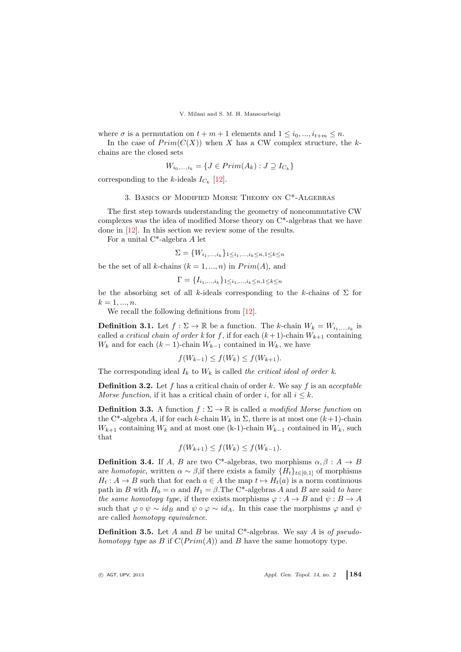where  $\sigma$  is a permutation on  $t + m + 1$  elements and  $1 \leq i_0, ..., i_{t+m} \leq n$ .

In the case of  $Prim(C(X))$  when X has a CW complex structure, the kchains are the closed sets

$$
W_{i_0,\ldots,i_k} = \{J \in Prim(A_k) : J \supseteq I_{C_k}\}
$$

corresponding to the k-ideals  $I_{C_k}$  [\[12\]](#page-14-10).

# 3. Basics of Modified Morse Theory on C\*-Algebras

The first step towards understanding the geometry of noncommutative CW complexes was the idea of modified Morse theory on  $C^*$ -algebras that we have done in [\[12\]](#page-14-10). In this section we review some of the results.

For a unital C\*-algebra A let

$$
\Sigma = \{W_{i_1,...,i_k}\}_{1 \le i_1,...,i_k \le n, 1 \le k \le n}
$$

be the set of all k-chains  $(k = 1, ..., n)$  in  $Prim(A)$ , and

$$
\Gamma = \{I_{i_1,\ldots,i_k}\}_{1 \leq i_1,\ldots,i_k \leq n, 1 \leq k \leq n}
$$

be the absorbing set of all k-ideals corresponding to the k-chains of  $\Sigma$  for  $k = 1, ..., n$ .

We recall the following definitions from [\[12\]](#page-14-10).

**Definition 3.1.** Let  $f : \Sigma \to \mathbb{R}$  be a function. The k-chain  $W_k = W_{i_1,...,i_k}$  is called a critical chain of order k for f, if for each  $(k+1)$ -chain  $W_{k+1}$  containing  $W_k$  and for each  $(k-1)$ -chain  $W_{k-1}$  contained in  $W_k$ , we have

$$
f(W_{k-1}) \le f(W_k) \le f(W_{k+1}).
$$

The corresponding ideal  $I_k$  to  $W_k$  is called the critical ideal of order k.

**Definition 3.2.** Let f has a critical chain of order k. We say f is an *acceptable Morse function*, if it has a critical chain of order i, for all  $i \leq k$ .

**Definition 3.3.** A function  $f : \Sigma \to \mathbb{R}$  is called a modified Morse function on the C<sup>\*</sup>-algebra A, if for each k-chain  $W_k$  in  $\Sigma$ , there is at most one  $(k+1)$ -chain  $W_{k+1}$  containing  $W_k$  and at most one (k-1)-chain  $W_{k-1}$  contained in  $W_k$ , such that

$$
f(W_{k+1}) \le f(W_k) \le f(W_{k-1}).
$$

**Definition 3.4.** If A, B are two C<sup>\*</sup>-algebras, two morphisms  $\alpha, \beta : A \rightarrow B$ are homotopic, written  $\alpha \sim \beta$ , if there exists a family  $\{H_t\}_{t\in[0,1]}$  of morphisms  $H_t: A \to B$  such that for each  $a \in A$  the map  $t \mapsto H_t(a)$  is a norm continuous path in B with  $H_0 = \alpha$  and  $H_1 = \beta$ . The C<sup>\*</sup>-algebras A and B are said to have the same homotopy type, if there exists morphisms  $\varphi : A \to B$  and  $\psi : B \to A$ such that  $\varphi \circ \psi \sim id_B$  and  $\psi \circ \varphi \sim id_A$ . In this case the morphisms  $\varphi$  and  $\psi$ are called homotopy equivalence.

**Definition 3.5.** Let A and B be unital C<sup>\*</sup>-algebras. We say A is of pseudohomotopy type as B if  $C(Prim(A))$  and B have the same homotopy type.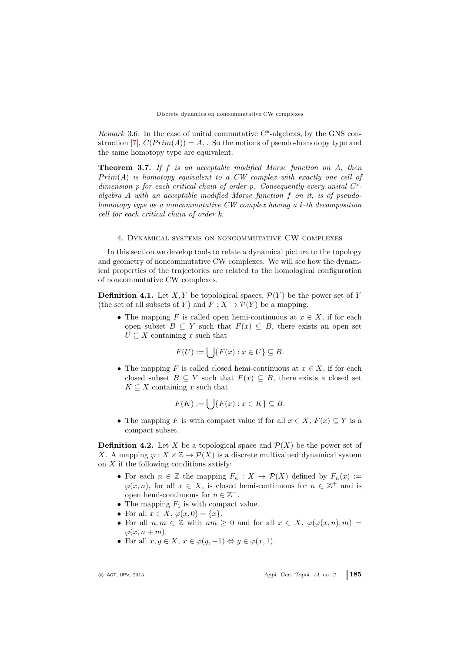*Remark* 3.6. In the case of unital commutative  $C^*$ -algebras, by the GNS con-struction [\[7\]](#page-14-3),  $C(Prim(A)) = A$ , So the notions of pseudo-homotopy type and the same homotopy type are equivalent.

Theorem 3.7. If f is an acceptable modified Morse function on A, then  $Prim(A)$  is homotopy equivalent to a CW complex with exactly one cell of dimension p for each critical chain of order p. Consequently every unital  $C^*$ algebra  $A$  with an acceptable modified Morse function  $f$  on it, is of pseudohomotopy type as a noncommutative CW complex having a k-th decomposition cell for each critical chain of order k.

### 4. Dynamical systems on noncommutative CW complexes

In this section we develop tools to relate a dynamical picture to the topology and geometry of noncommutative CW complexes. We will see how the dynamical properties of the trajectories are related to the homological configuration of noncommutative CW complexes.

**Definition 4.1.** Let X, Y be topological spaces,  $\mathcal{P}(Y)$  be the power set of Y (the set of all subsets of Y) and  $F: X \to \mathcal{P}(Y)$  be a mapping.

• The mapping F is called open hemi-continuous at  $x \in X$ , if for each open subset  $B \subseteq Y$  such that  $F(x) \subseteq B$ , there exists an open set  $U \subseteq X$  containing x such that

$$
F(U) := \bigcup \{ F(x) : x \in U \} \subseteq B.
$$

• The mapping F is called closed hemi-continuous at  $x \in X$ , if for each closed subset  $B \subseteq Y$  such that  $F(x) \subseteq B$ , there exists a closed set  $K \subseteq X$  containing x such that

$$
F(K) := \bigcup \{ F(x) : x \in K \} \subseteq B.
$$

• The mapping F is with compact value if for all  $x \in X$ ,  $F(x) \subseteq Y$  is a compact subset.

<span id="page-6-0"></span>**Definition 4.2.** Let X be a topological space and  $\mathcal{P}(X)$  be the power set of X. A mapping  $\varphi: X \times \mathbb{Z} \to \mathcal{P}(X)$  is a discrete multivalued dynamical system on  $X$  if the following conditions satisfy:

- For each  $n \in \mathbb{Z}$  the mapping  $F_n : X \to \mathcal{P}(X)$  defined by  $F_n(x) :=$  $\varphi(x,n)$ , for all  $x \in X$ , is closed hemi-continuous for  $n \in \mathbb{Z}^+$  and is open hemi-continuous for  $n \in \mathbb{Z}^-$ .
- The mapping  $F_1$  is with compact value.
- For all  $x \in X$ ,  $\varphi(x, 0) = \{x\}.$
- For all  $n, m \in \mathbb{Z}$  with  $nm \geq 0$  and for all  $x \in X$ ,  $\varphi(\varphi(x, n), m) =$  $\varphi(x, n+m)$ .
- For all  $x, y \in X$ ,  $x \in \varphi(y, -1) \Leftrightarrow y \in \varphi(x, 1)$ .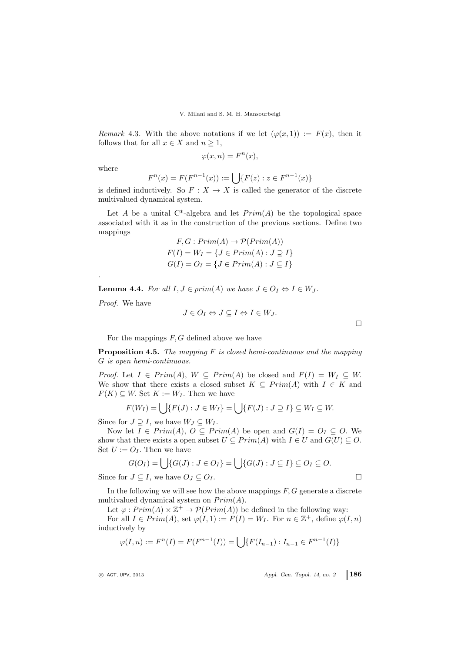Remark 4.3. With the above notations if we let  $(\varphi(x, 1)) := F(x)$ , then it follows that for all  $x \in X$  and  $n \geq 1$ ,

 $\varphi(x,n) = F^n(x),$ 

where

.

$$
F^{n}(x) = F(F^{n-1}(x)) := \bigcup \{ F(z) : z \in F^{n-1}(x) \}
$$

is defined inductively. So  $F: X \to X$  is called the generator of the discrete multivalued dynamical system.

Let A be a unital C<sup>\*</sup>-algebra and let  $Prim(A)$  be the topological space associated with it as in the construction of the previous sections. Define two mappings

$$
F, G: Prim(A) \rightarrow \mathcal{P}(Prim(A))
$$
  

$$
F(I) = W_I = \{ J \in Prim(A) : J \supseteq I \}
$$
  

$$
G(I) = O_I = \{ J \in Prim(A) : J \subseteq I \}
$$

<span id="page-7-1"></span>**Lemma 4.4.** For all  $I, J \in prim(A)$  we have  $J \in O_I \Leftrightarrow I \in W_J$ .

Proof. We have

$$
J\in {\cal O}_I \Leftrightarrow J\subseteq I \Leftrightarrow I\in {\cal W}_J.
$$

For the mappings  $F, G$  defined above we have

<span id="page-7-0"></span>**Proposition 4.5.** The mapping  $F$  is closed hemi-continuous and the mapping G is open hemi-continuous.

*Proof.* Let  $I \in Prim(A), W \subseteq Prim(A)$  be closed and  $F(I) = W_I \subseteq W$ . We show that there exists a closed subset  $K \subseteq Prim(A)$  with  $I \in K$  and  $F(K) \subseteq W$ . Set  $K := W_I$ . Then we have

$$
F(W_I) = \bigcup \{ F(J) : J \in W_I \} = \bigcup \{ F(J) : J \supseteq I \} \subseteq W_I \subseteq W.
$$

Since for  $J \supseteq I$ , we have  $W_J \subseteq W_I$ .

Now let  $I \in Prim(A), O \subseteq Prim(A)$  be open and  $G(I) = O_I \subseteq O$ . We show that there exists a open subset  $U \subseteq Prim(A)$  with  $I \in U$  and  $G(U) \subseteq O$ . Set  $U := O_I$ . Then we have

$$
G(O_I) = \bigcup \{ G(J) : J \in O_I \} = \bigcup \{ G(J) : J \subseteq I \} \subseteq O_I \subseteq O.
$$

Since for  $J \subseteq I$ , we have  $O_J \subseteq O_I$ .

In the following we will see how the above mappings  $F, G$  generate a discrete multivalued dynamical system on  $Prim(A)$ .

Let  $\varphi: Prim(A) \times \mathbb{Z}^+ \to \mathcal{P}(Prim(A))$  be defined in the following way:

For all  $I \in Prim(A)$ , set  $\varphi(I,1) := F(I) = W_I$ . For  $n \in \mathbb{Z}^+$ , define  $\varphi(I, n)$ inductively by

$$
\varphi(I, n) := F^n(I) = F(F^{n-1}(I)) = \bigcup \{ F(I_{n-1}) : I_{n-1} \in F^{n-1}(I) \}
$$

 $\Box$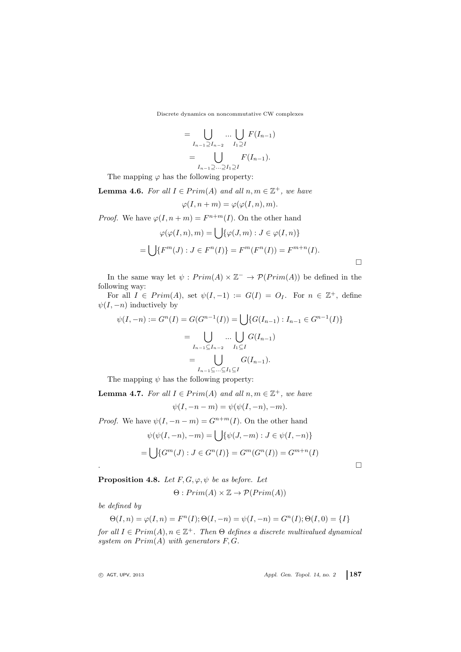$$
= \bigcup_{I_{n-1}\supseteq I_{n-2}} \dots \bigcup_{I_1\supseteq I} F(I_{n-1})
$$

$$
= \bigcup_{I_{n-1}\supseteq \dots \supseteq I_1\supseteq I} F(I_{n-1}).
$$

The mapping  $\varphi$  has the following property:

<span id="page-8-0"></span>**Lemma 4.6.** For all  $I \in Prim(A)$  and all  $n, m \in \mathbb{Z}^+$ , we have

$$
\varphi(I, n+m) = \varphi(\varphi(I, n), m).
$$

*Proof.* We have  $\varphi(I, n+m) = F^{n+m}(I)$ . On the other hand

$$
\varphi(\varphi(I,n),m) = \bigcup \{ \varphi(J,m) : J \in \varphi(I,n) \}
$$

$$
= \bigcup \{ F^m(J) : J \in F^n(I) \} = F^m(F^n(I)) = F^{m+n}(I).
$$

In the same way let  $\psi: Prim(A) \times \mathbb{Z}^{-} \rightarrow \mathcal{P}(Prim(A))$  be defined in the following way:

For all  $I \in Prim(A)$ , set  $\psi(I, -1) := G(I) = O_I$ . For  $n \in \mathbb{Z}^+$ , define  $\psi(I, -n)$  inductively by

$$
\psi(I, -n) := G^n(I) = G(G^{n-1}(I)) = \bigcup \{ G(I_{n-1}) : I_{n-1} \in G^{n-1}(I) \}
$$

$$
= \bigcup_{I_{n-1} \subseteq I_{n-2}} \dots \bigcup_{I_1 \subseteq I} G(I_{n-1})
$$

$$
= \bigcup_{I_{n-1} \subseteq \dots \subseteq I_1 \subseteq I} G(I_{n-1}).
$$

The mapping  $\psi$  has the following property:

<span id="page-8-1"></span>**Lemma 4.7.** For all  $I \in Prim(A)$  and all  $n, m \in \mathbb{Z}^+$ , we have

 $\psi(I, -n-m) = \psi(\psi(I, -n), -m).$ 

*Proof.* We have  $\psi(I, -n-m) = G^{n+m}(I)$ . On the other hand

$$
\psi(\psi(I, -n), -m) = \bigcup \{\psi(J, -m) : J \in \psi(I, -n)\}
$$

$$
= \bigcup \{G^m(J) : J \in G^n(I)\} = G^m(G^n(I)) = G^{m+n}(I)
$$

 $\Box$ 

Proposition 4.8. Let  $F, G, \varphi, \psi$  be as before. Let

 $\Theta: Prim(A) \times \mathbb{Z} \rightarrow \mathcal{P}(Prim(A))$ 

be defined by

$$
\Theta(I, n) = \varphi(I, n) = F^{n}(I); \Theta(I, -n) = \psi(I, -n) = G^{n}(I); \Theta(I, 0) = \{I\}
$$

for all  $I \in Prim(A), n \in \mathbb{Z}^+$ . Then  $\Theta$  defines a discrete multivalued dynamical system on  $Prim(A)$  with generators  $F, G$ .

<sup>c</sup> AGT, UPV, <sup>2013</sup> Appl. Gen. Topol. 14, no. 2 187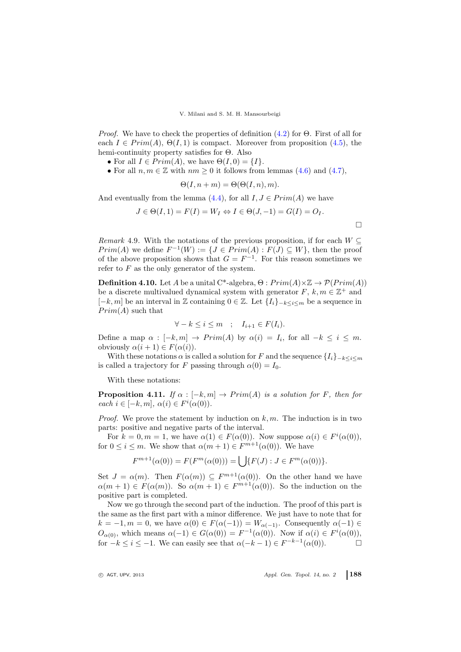*Proof.* We have to check the properties of definition  $(4.2)$  for  $\Theta$ . First of all for each  $I \in Prim(A), \Theta(I, 1)$  is compact. Moreover from proposition [\(4.5\)](#page-7-0), the hemi-continuity property satisfies for Θ. Also

- For all  $I \in Prim(A)$ , we have  $\Theta(I, 0) = \{I\}.$
- For all  $n, m \in \mathbb{Z}$  with  $nm \geq 0$  it follows from lemmas [\(4.6\)](#page-8-0) and [\(4.7\)](#page-8-1),

$$
\Theta(I, n+m) = \Theta(\Theta(I, n), m).
$$

And eventually from the lemma [\(4.4\)](#page-7-1), for all  $I, J \in Prim(A)$  we have

$$
J \in \Theta(I, 1) = F(I) = W_I \Leftrightarrow I \in \Theta(J, -1) = G(I) = O_I.
$$

Remark 4.9. With the notations of the previous proposition, if for each  $W \subseteq$  $Prim(A)$  we define  $F^{-1}(W) := \{ J \in Prim(A) : F(J) \subseteq W \}$ , then the proof of the above proposition shows that  $G = F^{-1}$ . For this reason sometimes we refer to  $F$  as the only generator of the system.

**Definition 4.10.** Let A be a unital C<sup>\*</sup>-algebra,  $\Theta : Prim(A) \times \mathbb{Z} \rightarrow \mathcal{P}(Prim(A))$ be a discrete multivalued dynamical system with generator  $F, k, m \in \mathbb{Z}^+$  and  $[-k, m]$  be an interval in Z containing  $0 \in \mathbb{Z}$ . Let  $\{I_i\}_{-k \leq i \leq m}$  be a sequence in  $Prim(A)$  such that

$$
\forall -k \leq i \leq m \quad ; \quad I_{i+1} \in F(I_i).
$$

Define a map  $\alpha : [-k, m] \to Prim(A)$  by  $\alpha(i) = I_i$ , for all  $-k \leq i \leq m$ . obviously  $\alpha(i + 1) \in F(\alpha(i))$ .

With these notations  $\alpha$  is called a solution for F and the sequence  $\{I_i\}_{-k\leq i\leq m}$ is called a trajectory for F passing through  $\alpha(0) = I_0$ .

With these notations:

**Proposition 4.11.** If  $\alpha : [-k, m] \to Prim(A)$  is a solution for F, then for each  $i \in [-k, m], \alpha(i) \in F^i(\alpha(0)).$ 

*Proof.* We prove the statement by induction on  $k, m$ . The induction is in two parts: positive and negative parts of the interval.

For  $k = 0, m = 1$ , we have  $\alpha(1) \in F(\alpha(0))$ . Now suppose  $\alpha(i) \in F^{i}(\alpha(0))$ , for  $0 \leq i \leq m$ . We show that  $\alpha(m+1) \in F^{m+1}(\alpha(0))$ . We have

$$
F^{m+1}(\alpha(0)) = F(F^m(\alpha(0))) = \bigcup \{ F(J) : J \in F^m(\alpha(0)) \}.
$$

Set  $J = \alpha(m)$ . Then  $F(\alpha(m)) \subseteq F^{m+1}(\alpha(0))$ . On the other hand we have  $\alpha(m+1) \in F(\alpha(m))$ . So  $\alpha(m+1) \in F^{m+1}(\alpha(0))$ . So the induction on the positive part is completed.

Now we go through the second part of the induction. The proof of this part is the same as the first part with a minor difference. We just have to note that for  $k = -1, m = 0$ , we have  $\alpha(0) \in F(\alpha(-1)) = W_{\alpha(-1)}$ . Consequently  $\alpha(-1) \in$  $O_{\alpha(0)}$ , which means  $\alpha(-1) \in G(\alpha(0)) = F^{-1}(\alpha(0))$ . Now if  $\alpha(i) \in F^{i}(\alpha(0))$ , for  $-k \leq i \leq -1$ . We can easily see that  $\alpha(-k-1) \in F^{-k-1}(\alpha(0))$ .

 $\Box$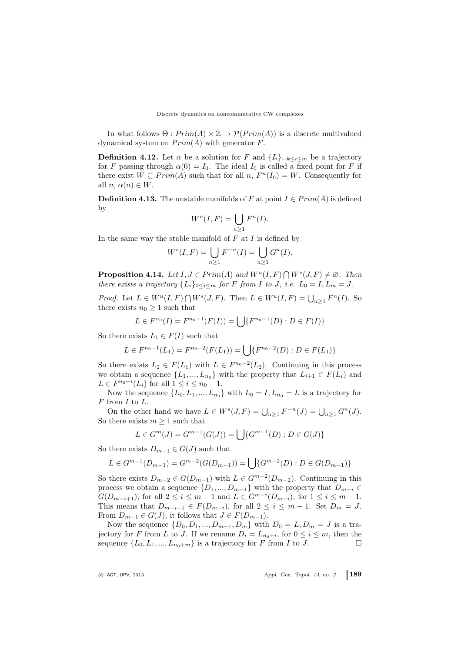In what follows  $\Theta: Prim(A) \times \mathbb{Z} \rightarrow \mathcal{P}(Prim(A))$  is a discrete multivalued dynamical system on  $Prim(A)$  with generator F.

**Definition 4.12.** Let  $\alpha$  be a solution for F and  $\{I_i\}_{-k\leq i\leq m}$  be a trajectory for F passing through  $\alpha(0) = I_0$ . The ideal  $I_0$  is called a fixed point for F if there exist  $W \subseteq Prim(A)$  such that for all  $n, F<sup>n</sup>(I<sub>0</sub>) = W$ . Consequently for all  $n, \alpha(n) \in W$ .

**Definition 4.13.** The unstable manifolds of F at point  $I \in Prim(A)$  is defined by

$$
W^u(I, F) = \bigcup_{n \ge 1} F^n(I).
$$

In the same way the stable manifold of  $F$  at  $I$  is defined by

$$
Ws(I, F) = \bigcup_{n \ge 1} F^{-n}(I) = \bigcup_{n \ge 1} G^n(I).
$$

**Proposition 4.14.** Let  $I, J \in Prim(A)$  and  $W^u(I, F) \cap W^s(J, F) \neq \emptyset$ . Then there exists a trajectory  $\{L_i\}_{0\leq i\leq m}$  for F from I to J, i.e.  $L_0 = I, L_m = J$ .

*Proof.* Let  $L \in W^u(I, F) \cap W^s(J, F)$ . Then  $L \in W^u(I, F) = \bigcup_{n \geq 1} F^n(I)$ . So there exists  $n_0 \geq 1$  such that

$$
L \in F^{n_0}(I) = F^{n_0-1}(F(I)) = \bigcup \{ F^{n_0-1}(D) : D \in F(I) \}
$$

So there exists  $L_1 \in F(I)$  such that

$$
L \in F^{n_0 - 1}(L_1) = F^{n_0 - 2}(F(L_1)) = \bigcup \{ F^{n_0 - 2}(D) : D \in F(L_1) \}
$$

So there exists  $L_2 \in F(L_1)$  with  $L \in F^{n_0-2}(L_2)$ . Continuing in this process we obtain a sequence  $\{L_1, ..., L_{n_0}\}\)$  with the property that  $L_{i+1} \in F(L_i)$  and  $L \in F^{n_0 - i}(L_i)$  for all  $1 \le i \le n_0 - 1$ .

Now the sequence  $\{L_0, L_1, ..., L_{n_0}\}\$  with  $L_0 = I, L_{n_0} = L$  is a trajectory for  $F$  from  $I$  to  $L$ .

On the other hand we have  $L \in W<sup>s</sup>(J, F) = \bigcup_{n \geq 1} F^{-n}(J) = \bigcup_{n \geq 1} G^n(J)$ . So there exists  $m \geq 1$  such that

$$
L \in G^m(J) = G^{m-1}(G(J)) = \bigcup \{G^{m-1}(D) : D \in G(J)\}
$$

So there exists  $D_{m-1} \in G(J)$  such that

$$
L \in G^{m-1}(D_{m-1}) = G^{m-2}(G(D_{m-1})) = \bigcup \{G^{m-2}(D) : D \in G(D_{m-1})\}
$$

So there exists  $D_{m-2} \in G(D_{m-1})$  with  $L \in G^{m-2}(D_{m-2})$ . Continuing in this process we obtain a sequence  $\{D_1, ..., D_{m-1}\}$  with the property that  $D_{m-i} \in$  $G(D_{m-i+1}),$  for all  $2 \le i \le m-1$  and  $L \in G^{m-i}(D_{m-i}),$  for  $1 \le i \le m-1$ . This means that  $D_{m-i+1} \in F(D_{m-i}),$  for all  $2 \leq i \leq m-1$ . Set  $D_m = J$ . From  $D_{m-1} \in G(J)$ , it follows that  $J \in F(D_{m-1})$ .

Now the sequence  $\{D_0, D_1, ..., D_{m-1}, D_m\}$  with  $D_0 = L, D_m = J$  is a trajectory for F from L to J. If we rename  $D_i = L_{n_0+i}$ , for  $0 \le i \le m$ , then the sequence  $\{L_0, L_1, ..., L_{n_0+m}\}\$ is a trajectory for F from I to J.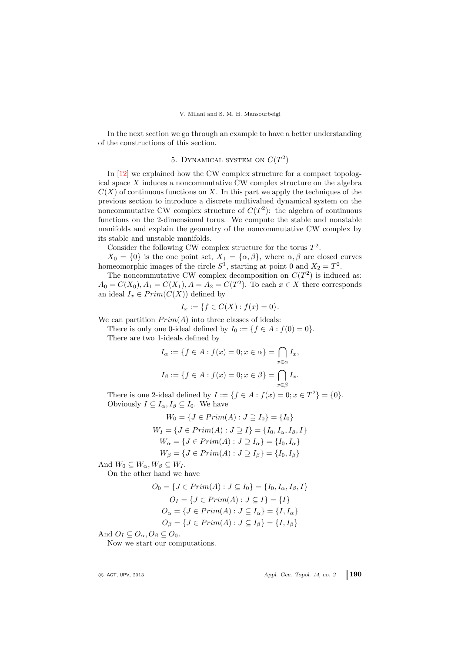In the next section we go through an example to have a better understanding of the constructions of this section.

# 5. DYNAMICAL SYSTEM ON  $C(T^2)$

In [\[12\]](#page-14-10) we explained how the CW complex structure for a compact topological space X induces a noncommutative CW complex structure on the algebra  $C(X)$  of continuous functions on X. In this part we apply the techniques of the previous section to introduce a discrete multivalued dynamical system on the noncommutative CW complex structure of  $C(T^2)$ : the algebra of continuous functions on the 2-dimensional torus. We compute the stable and nonstable manifolds and explain the geometry of the noncommutative CW complex by its stable and unstable manifolds.

Consider the following CW complex structure for the torus  $T^2$ .

 $X_0 = \{0\}$  is the one point set,  $X_1 = \{\alpha, \beta\}$ , where  $\alpha, \beta$  are closed curves homeomorphic images of the circle  $S^1$ , starting at point 0 and  $X_2 = T^2$ .

The noncommutative CW complex decomposition on  $C(T^2)$  is induced as:  $A_0 = C(X_0), A_1 = C(X_1), A = A_2 = C(T^2)$ . To each  $x \in X$  there corresponds an ideal  $I_x \in Prim(C(X))$  defined by

$$
I_x := \{ f \in C(X) : f(x) = 0 \}.
$$

We can partition  $Prim(A)$  into three classes of ideals:

There is only one 0-ideal defined by  $I_0 := \{f \in A : f(0) = 0\}.$ There are two 1-ideals defined by

$$
I_{\alpha} := \{ f \in A : f(x) = 0; x \in \alpha \} = \bigcap_{x \in \alpha} I_x,
$$
  

$$
I_{\beta} := \{ f \in A : f(x) = 0; x \in \beta \} = \bigcap_{x \in \beta} I_x.
$$

There is one 2-ideal defined by  $I := \{ f \in A : f(x) = 0; x \in T^2 \} = \{ 0 \}.$ Obviously  $I \subseteq I_\alpha, I_\beta \subseteq I_0$ . We have

$$
W_0 = \{ J \in Prim(A) : J \supseteq I_0 \} = \{ I_0 \}
$$
  
\n
$$
W_I = \{ J \in Prim(A) : J \supseteq I \} = \{ I_0, I_\alpha, I_\beta, I \}
$$
  
\n
$$
W_\alpha = \{ J \in Prim(A) : J \supseteq I_\alpha \} = \{ I_0, I_\alpha \}
$$
  
\n
$$
W_\beta = \{ J \in Prim(A) : J \supseteq I_\beta \} = \{ I_0, I_\beta \}
$$

And  $W_0 \subseteq W_\alpha, W_\beta \subseteq W_I$ .

On the other hand we have

$$
O_0 = \{ J \in Prim(A) : J \subseteq I_0 \} = \{ I_0, I_\alpha, I_\beta, I \}
$$
  
\n
$$
O_I = \{ J \in Prim(A) : J \subseteq I \} = \{ I \}
$$
  
\n
$$
O_\alpha = \{ J \in Prim(A) : J \subseteq I_\alpha \} = \{ I, I_\alpha \}
$$
  
\n
$$
O_\beta = \{ J \in Prim(A) : J \subseteq I_\beta \} = \{ I, I_\beta \}
$$

And  $O_I \subseteq O_\alpha$ ,  $O_\beta \subseteq O_0$ .

Now we start our computations.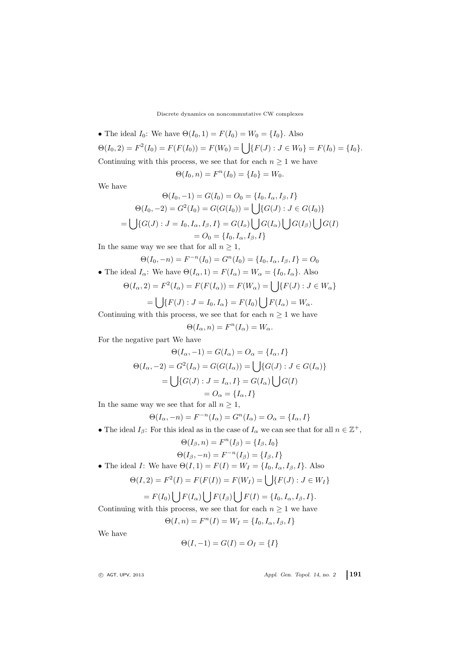• The ideal  $I_0$ : We have  $\Theta(I_0, 1) = F(I_0) = W_0 = \{I_0\}$ . Also  $\Theta(I_0, 2) = F^2(I_0) = F(F(I_0)) = F(W_0) = \bigcup \{F(J) : J \in W_0\} = F(I_0) = \{I_0\}.$ Continuing with this process, we see that for each  $n\geq 1$  we have

$$
\Theta(I_0, n) = F^n(I_0) = \{I_0\} = W_0.
$$

We have

$$
\Theta(I_0, -1) = G(I_0) = O_0 = \{I_0, I_\alpha, I_\beta, I\}
$$

$$
\Theta(I_0, -2) = G^2(I_0) = G(G(I_0)) = \bigcup \{G(J) : J \in G(I_0)\}
$$

$$
= \bigcup \{G(J) : J = I_0, I_\alpha, I_\beta, I\} = G(I_o) \bigcup G(I_\alpha) \bigcup G(I_\beta) \bigcup G(I)
$$

$$
= O_0 = \{I_0, I_\alpha, I_\beta, I\}
$$

In the same way we see that for all  $n \geq 1$ ,

$$
\Theta(I_0, -n) = F^{-n}(I_0) = G^n(I_0) = \{I_0, I_\alpha, I_\beta, I\} = O_0
$$

• The ideal  $I_{\alpha}$ : We have  $\Theta(I_{\alpha}, 1) = F(I_{\alpha}) = W_{\alpha} = \{I_0, I_{\alpha}\}.$  Also

$$
\Theta(I_{\alpha}, 2) = F^2(I_{\alpha}) = F(F(I_{\alpha})) = F(W_{\alpha}) = \bigcup \{ F(J) : J \in W_{\alpha} \}
$$

$$
= \bigcup \{ F(J) : J = I_0, I_\alpha \} = F(I_0) \bigcup F(I_\alpha) = W_\alpha.
$$

Continuing with this process, we see that for each  $n \geq 1$  we have

$$
\Theta(I_{\alpha}, n) = F^{n}(I_{\alpha}) = W_{\alpha}.
$$

For the negative part We have

$$
\Theta(I_{\alpha}, -1) = G(I_{\alpha}) = O_{\alpha} = \{I_{\alpha}, I\}
$$

$$
\Theta(I_{\alpha}, -2) = G^{2}(I_{\alpha}) = G(G(I_{\alpha})) = \bigcup \{G(J) : J \in G(I_{\alpha})\}
$$

$$
= \bigcup \{G(J) : J = I_{\alpha}, I\} = G(I_{\alpha}) \bigcup G(I)
$$

$$
= O_{\alpha} = \{I_{\alpha}, I\}
$$

In the same way we see that for all  $n \geq 1$ ,

$$
\Theta(I_{\alpha}, -n) = F^{-n}(I_{\alpha}) = G^{n}(I_{\alpha}) = O_{\alpha} = \{I_{\alpha}, I\}
$$

• The ideal  $I_\beta$ : For this ideal as in the case of  $I_\alpha$  we can see that for all  $n \in \mathbb{Z}^+$ ,

$$
\Theta(I_{\beta}, n) = F^n(I_{\beta}) = \{I_{\beta}, I_0\}
$$

$$
\Theta(I_{\beta}, -n) = F^{-n}(I_{\beta}) = \{I_{\beta}, I\}
$$

• The ideal I: We have  $\Theta(I, 1) = F(I) = W_I = \{I_0, I_\alpha, I_\beta, I\}$ . Also

$$
\Theta(I,2) = F^2(I) = F(F(I)) = F(W_I) = \bigcup \{F(J) : J \in W_I\}
$$

$$
= F(I_0) \bigcup F(I_\alpha) \bigcup F(I_\beta) \bigcup F(I) = \{I_0, I_\alpha, I_\beta, I\}.
$$

Continuing with this process, we see that for each  $n \geq 1$  we have

$$
\Theta(I, n) = F^{n}(I) = W_{I} = \{I_0, I_{\alpha}, I_{\beta}, I\}
$$

We have

$$
\Theta(I, -1) = G(I) = O_I = \{I\}
$$

<sup>c</sup> AGT, UPV, <sup>2013</sup> Appl. Gen. Topol. 14, no. 2 191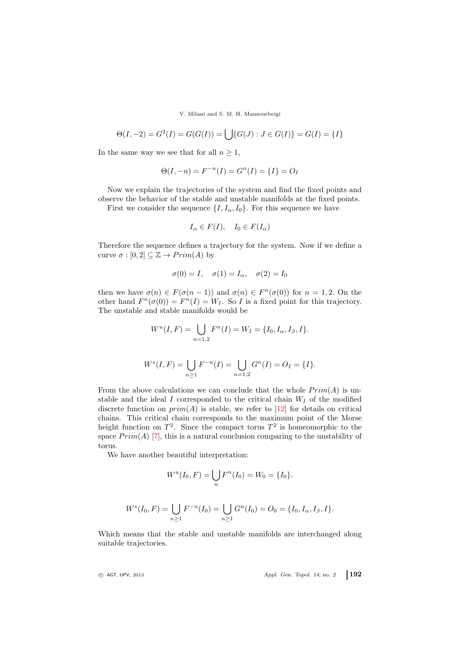$$
\Theta(I, -2) = G^{2}(I) = G(G(I)) = \bigcup \{G(J) : J \in G(I)\} = G(I) = \{I\}
$$

In the same way we see that for all  $n \geq 1$ ,

$$
\Theta(I, -n) = F^{-n}(I) = G^{n}(I) = \{I\} = O_{I}
$$

Now we explain the trajectories of the system and find the fixed points and observe the behavior of the stable and unstable manifolds at the fixed points.

First we consider the sequence  $\{I, I_{\alpha}, I_0\}$ . For this sequence we have

$$
I_{\alpha} \in F(I), \quad I_0 \in F(I_{\alpha})
$$

Therefore the sequence defines a trajectory for the system. Now if we define a curve  $\sigma : [0,2] \subseteq \mathbb{Z} \rightarrow Prim(A)$  by

$$
\sigma(0) = I, \quad \sigma(1) = I_{\alpha}, \quad \sigma(2) = I_0
$$

then we have  $\sigma(n) \in F(\sigma(n-1))$  and  $\sigma(n) \in F^{n}(\sigma(0))$  for  $n = 1, 2$ . On the other hand  $F^n(\sigma(0)) = F^n(I) = W_I$ . So I is a fixed point for this trajectory. The unstable and stable manifolds would be

$$
W^{u}(I, F) = \bigcup_{n=1,2} F^{n}(I) = W_{I} = \{I_0, I_{\alpha}, I_{\beta}, I\}.
$$

$$
W^{s}(I, F) = \bigcup_{n \geq 1} F^{-n}(I) = \bigcup_{n = 1,2} G^{n}(I) = O_{I} = \{I\}.
$$

From the above calculations we can conclude that the whole  $Prim(A)$  is unstable and the ideal  $I$  corresponded to the critical chain  $W_I$  of the modified discrete function on  $prim(A)$  is stable, we refer to [\[12\]](#page-14-10) for details on critical chains. This critical chain corresponds to the maximum point of the Morse height function on  $T^2$ . Since the compact torus  $T^2$  is homeomorphic to the space  $Prim(A)$  [\[7\]](#page-14-3), this is a natural conclusion comparing to the unstability of torus.

We have another beautiful interpretation:

$$
W^{u}(I_0, F) = \bigcup_{n} F^{n}(I_0) = W_0 = \{I_0\}.
$$

$$
W^{s}(I_0, F) = \bigcup_{n \ge 1} F^{-n}(I_0) = \bigcup_{n \ge 1} G^{n}(I_0) = O_0 = \{I_0, I_\alpha, I_\beta, I\}.
$$

Which means that the stable and unstable manifolds are interchanged along suitable trajectories.